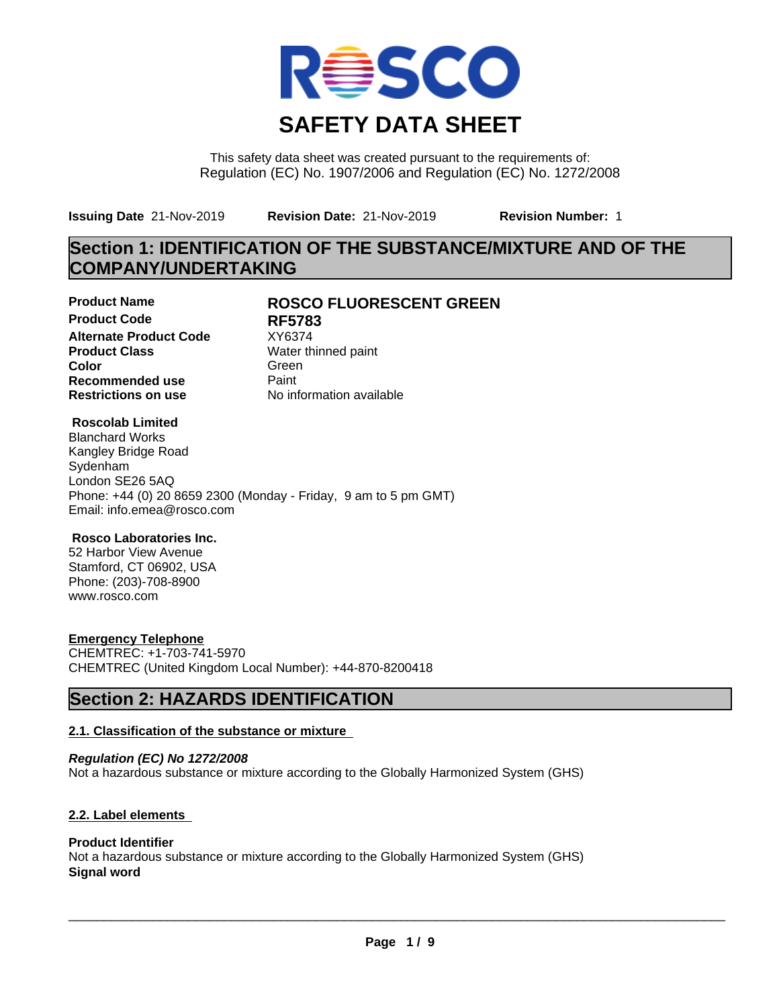

This safety data sheet was created pursuant to the requirements of: Regulation (EC) No. 1907/2006 and Regulation (EC) No. 1272/2008

**Issuing Date** 21-Nov-2019 **Revision Date:** 21-Nov-2019 **Revision Number:** 1

# **Section 1: IDENTIFICATION OF THE SUBSTANCE/MIXTURE AND OF THE COMPANY/UNDERTAKING**

**Product Code RF5783 Alternate Product Code** XY6374<br>**Product Class** Water th **Color** Green **Green** Green **Green Recommended use** Paint<br> **Restrictions on use** Mo information available **Restrictions on use** 

### **Product Name ROSCO FLUORESCENT GREEN**

**Water thinned paint** 

#### **Roscolab Limited**

Blanchard Works Kangley Bridge Road Sydenham London SE26 5AQ Phone: +44 (0) 20 8659 2300 (Monday - Friday, 9 am to 5 pm GMT) Email: info.emea@rosco.com

#### **Rosco Laboratories Inc.**

52 Harbor View Avenue Stamford, CT 06902, USA Phone: (203)-708-8900 www.rosco.com

#### **Emergency Telephone**

CHEMTREC: +1-703-741-5970 CHEMTREC (United Kingdom Local Number): +44-870-8200418

### **Section 2: HAZARDS IDENTIFICATION**

#### **2.1. Classification of the substance or mixture**

*Regulation (EC) No 1272/2008* Not a hazardous substance or mixture according to the Globally Harmonized System (GHS)

#### **2.2. Label elements**

#### **Product Identifier**

Not a hazardous substance or mixture according to the Globally Harmonized System (GHS) **Signal word**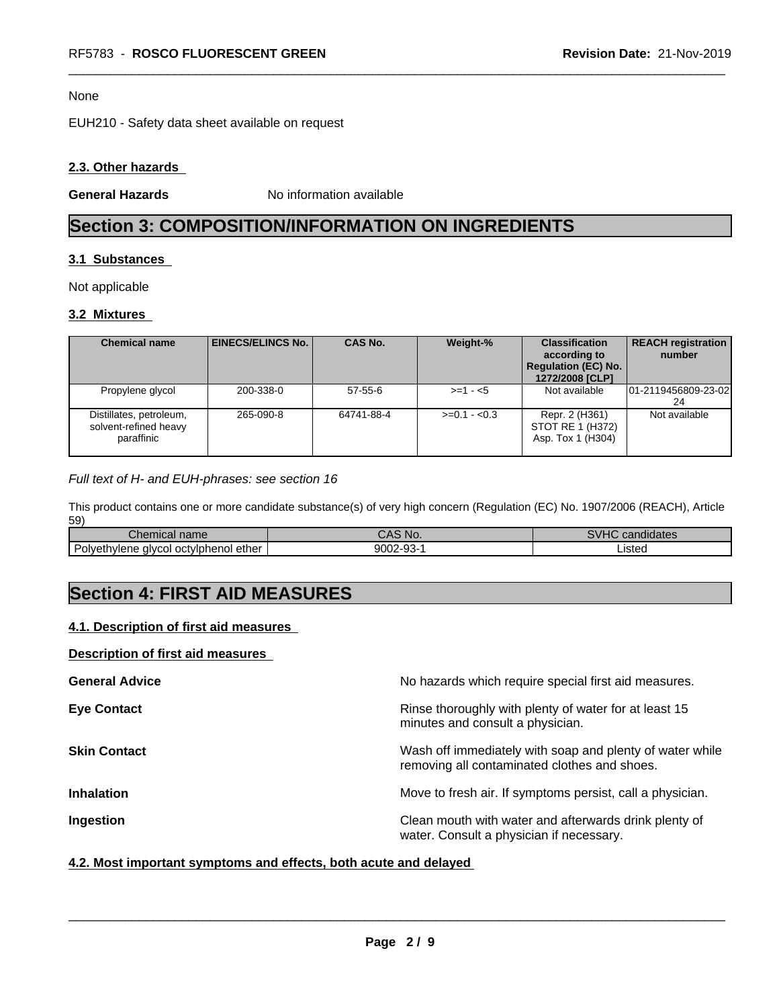#### None

EUH210 - Safety data sheet available on request

#### **2.3. Other hazards**

**General Hazards** No information available

# **Section 3: COMPOSITION/INFORMATION ON INGREDIENTS**

#### **3.1 Substances**

Not applicable

#### **3.2 Mixtures**

| <b>Chemical name</b>                                           | EINECS/ELINCS No. I | <b>CAS No.</b> | Weight-%      | <b>Classification</b><br>according to<br><b>Regulation (EC) No.</b><br>1272/2008 [CLP] | <b>REACH registration</b><br>number |
|----------------------------------------------------------------|---------------------|----------------|---------------|----------------------------------------------------------------------------------------|-------------------------------------|
| Propylene glycol                                               | 200-338-0           | $57 - 55 - 6$  | $>=1 - 5$     | Not available                                                                          | 01-2119456809-23-02<br>24           |
| Distillates, petroleum,<br>solvent-refined heavy<br>paraffinic | 265-090-8           | 64741-88-4     | $>=0.1 - 0.3$ | Repr. 2 (H361)<br>STOT RE 1 (H372)<br>Asp. Tox 1 (H304)                                | Not available                       |

#### *Full text of H- and EUH-phrases: see section 16*

This product contains one or more candidate substance(s) of very high concern (Regulation (EC) No. 1907/2006 (REACH), Article 59)

| <b>START OF</b><br>onemical name                                                                   | N<br>. .                              | $\cdots$<br>$\cdots$<br>didates<br>$\sim$ $\sim$ $\sim$ |
|----------------------------------------------------------------------------------------------------|---------------------------------------|---------------------------------------------------------|
| $\overline{\phantom{0}}$<br>Polveth<br>octviphenol<br>ether<br>alveol<br>าviene<br>$\cdots$<br>تات | 9002-<br>no.<br>$12 - 1$<br>--<br>ى ت | ısteo                                                   |

# **Section 4: FIRST AID MEASURES**

#### **4.1. Description of first aid measures**

#### **Description of first aid measures**

| <b>General Advice</b> | No hazards which require special first aid measures.                                                     |
|-----------------------|----------------------------------------------------------------------------------------------------------|
| <b>Eye Contact</b>    | Rinse thoroughly with plenty of water for at least 15<br>minutes and consult a physician.                |
| <b>Skin Contact</b>   | Wash off immediately with soap and plenty of water while<br>removing all contaminated clothes and shoes. |
| <b>Inhalation</b>     | Move to fresh air. If symptoms persist, call a physician.                                                |
| Ingestion             | Clean mouth with water and afterwards drink plenty of<br>water. Consult a physician if necessary.        |

#### **4.2. Most important symptoms and effects, both acute and delayed**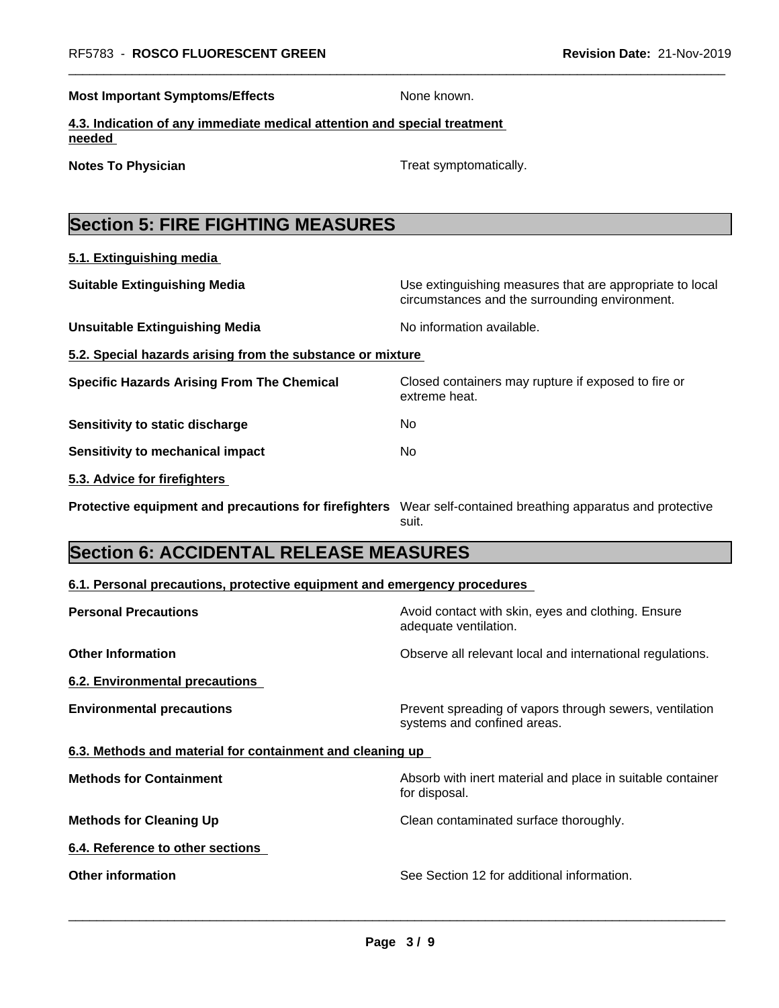**Most Important Symptoms/Effects** None known.

**4.3. Indication of any immediate medical attention and special treatment needed** 

**Notes To Physician Treat symptomatically.** 

extreme heat.

# **Section 5: FIRE FIGHTING MEASURES**

**5.1. Extinguishing media**

**Suitable Extinguishing Media** Media Use extinguishing measures that are appropriate to local circumstances and the surrounding environment.

- **Unsuitable Extinguishing Media** Noinformation available.
- **5.2. Special hazards arising from the substance or mixture**

**Specific Hazards Arising From The Chemical Closed containers may rupture if exposed to fire or** 

**Sensitivity to static discharge** No

**Sensitivity to mechanical impact** No

**5.3. Advice for firefighters** 

**Protective equipment and precautions for firefighters** Wear self-contained breathing apparatus and protective suit.

# **Section 6: ACCIDENTAL RELEASE MEASURES**

#### **6.1. Personal precautions, protective equipment and emergency procedures**

| <b>Personal Precautions</b>                               | Avoid contact with skin, eyes and clothing. Ensure<br>adequate ventilation.            |
|-----------------------------------------------------------|----------------------------------------------------------------------------------------|
| <b>Other Information</b>                                  | Observe all relevant local and international regulations.                              |
| 6.2. Environmental precautions                            |                                                                                        |
| <b>Environmental precautions</b>                          | Prevent spreading of vapors through sewers, ventilation<br>systems and confined areas. |
| 6.3. Methods and material for containment and cleaning up |                                                                                        |
| <b>Methods for Containment</b>                            | Absorb with inert material and place in suitable container<br>for disposal.            |
| <b>Methods for Cleaning Up</b>                            | Clean contaminated surface thoroughly.                                                 |
| 6.4. Reference to other sections                          |                                                                                        |
| <b>Other information</b>                                  | See Section 12 for additional information.                                             |
|                                                           |                                                                                        |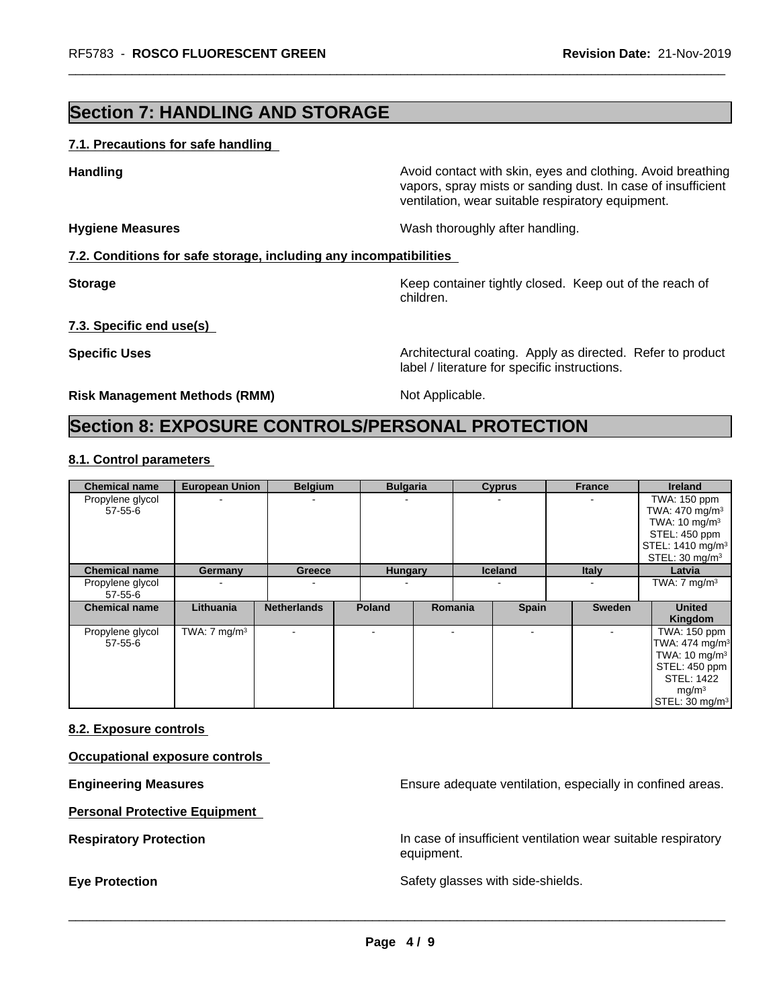### **Section 7: HANDLING AND STORAGE**

#### **7.1. Precautions for safe handling**

**Handling Handling Avoid contact with skin, eyes and clothing. Avoid breathing** vapors, spray mists or sanding dust. In case of insufficient ventilation, wear suitable respiratory equipment.

**Hygiene Measures** Mash thoroughly after handling.

#### **7.2. Conditions for safe storage, including any incompatibilities**

**Storage** Storage **Keep container tightly closed.** Keep out of the reach of children.

#### **7.3. Specific end use(s)**

**Specific Uses Architectural coating. Apply as directed. Refer to product Specific Uses** label / literature for specific instructions.

**Risk Management Methods (RMM)** Not Applicable.

### **Section 8: EXPOSURE CONTROLS/PERSONAL PROTECTION**

#### **8.1. Control parameters**

| <b>Chemical name</b>              | <b>European Union</b>   | <b>Belgium</b>           | <b>Bulgaria</b> |                | <b>Cyprus</b>  | France        | <b>Ireland</b>                                                                                                                                                  |
|-----------------------------------|-------------------------|--------------------------|-----------------|----------------|----------------|---------------|-----------------------------------------------------------------------------------------------------------------------------------------------------------------|
| Propylene glycol<br>57-55-6       |                         | ۰                        |                 |                |                |               | TWA: 150 ppm<br>TWA: $470 \text{ mg/m}^3$<br>TWA: $10 \text{ mg/m}^3$<br>STEL: 450 ppm<br>STEL: 1410 mg/m <sup>3</sup><br>STEL: $30 \text{ mg/m}^3$             |
| <b>Chemical name</b>              | Germany                 | Greece                   | <b>Hungary</b>  |                | <b>Iceland</b> | <b>Italy</b>  | Latvia                                                                                                                                                          |
| Propylene glycol<br>$57 - 55 - 6$ |                         | $\overline{\phantom{a}}$ |                 |                |                |               | TWA: $7 \text{ mg/m}^3$                                                                                                                                         |
| <b>Chemical name</b>              | Lithuania               | <b>Netherlands</b>       | <b>Poland</b>   | <b>Romania</b> | <b>Spain</b>   | <b>Sweden</b> | <b>United</b><br>Kingdom                                                                                                                                        |
| Propylene glycol<br>$57 - 55 - 6$ | TWA: $7 \text{ mg/m}^3$ | $\overline{\phantom{a}}$ |                 |                | $\blacksquare$ |               | TWA: 150 ppm<br>TWA: 474 mg/m <sup>3</sup><br>TWA: $10 \text{ mg/m}^3$<br>STEL: 450 ppm<br><b>STEL: 1422</b><br>mg/m <sup>3</sup><br>STEL: 30 mg/m <sup>3</sup> |

#### **8.2. Exposure controls**

**Occupational exposure controls**

**Engineering Measures Ensure adequate ventilation, especially in confined areas.** 

**Personal Protective Equipment**

**Respiratory Protection In case of insufficient ventilation wear suitable respiratory** equipment.

**Eye Protection** Safety glasses with side-shields.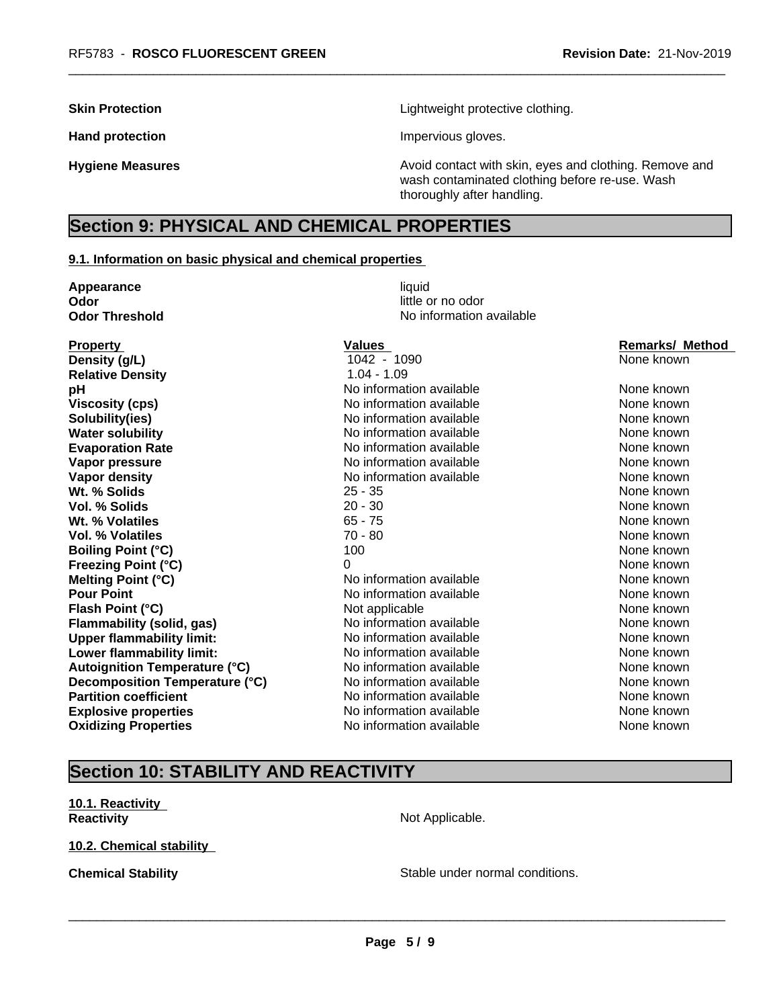**Skin Protection Skin Protection Lightweight protective clothing.** 

Hand protection **Impervious** gloves.

**Hygiene Measures Avoid contact with skin, eyes and clothing. Remove and Avoid contact with skin, eyes and clothing. Remove and Avoid contact with skin, eyes and clothing. Remove and** wash contaminated clothing before re-use. Wash thoroughly after handling.

## **Section 9: PHYSICAL AND CHEMICAL PROPERTIES**

#### **9.1. Information on basic physical and chemical properties**

| Appearance                           | liquid                   |                        |
|--------------------------------------|--------------------------|------------------------|
| Odor                                 | little or no odor        |                        |
| <b>Odor Threshold</b>                | No information available |                        |
| <b>Property</b>                      | Values                   | <b>Remarks/ Method</b> |
| Density (g/L)                        | 1042 - 1090              | None known             |
| <b>Relative Density</b>              | $1.04 - 1.09$            |                        |
| рH                                   | No information available | None known             |
| <b>Viscosity (cps)</b>               | No information available | None known             |
| Solubility(ies)                      | No information available | None known             |
| <b>Water solubility</b>              | No information available | None known             |
| <b>Evaporation Rate</b>              | No information available | None known             |
| Vapor pressure                       | No information available | None known             |
| <b>Vapor density</b>                 | No information available | None known             |
| Wt. % Solids                         | $25 - 35$                | None known             |
| Vol. % Solids                        | $20 - 30$                | None known             |
| Wt. % Volatiles                      | $65 - 75$                | None known             |
| <b>Vol. % Volatiles</b>              | $70 - 80$                | None known             |
| <b>Boiling Point (°C)</b>            | 100                      | None known             |
| <b>Freezing Point (°C)</b>           | 0                        | None known             |
| <b>Melting Point (°C)</b>            | No information available | None known             |
| <b>Pour Point</b>                    | No information available | None known             |
| Flash Point (°C)                     | Not applicable           | None known             |
| Flammability (solid, gas)            | No information available | None known             |
| <b>Upper flammability limit:</b>     | No information available | None known             |
| Lower flammability limit:            | No information available | None known             |
| <b>Autoignition Temperature (°C)</b> | No information available | None known             |
| Decomposition Temperature (°C)       | No information available | None known             |
| <b>Partition coefficient</b>         | No information available | None known             |
| <b>Explosive properties</b>          | No information available | None known             |
| <b>Oxidizing Properties</b>          | No information available | None known             |

# **Section 10: STABILITY AND REACTIVITY**

**10.1. Reactivity Reactivity Not Applicable.** 

**10.2. Chemical stability**

**Chemical Stability Stable under normal conditions.**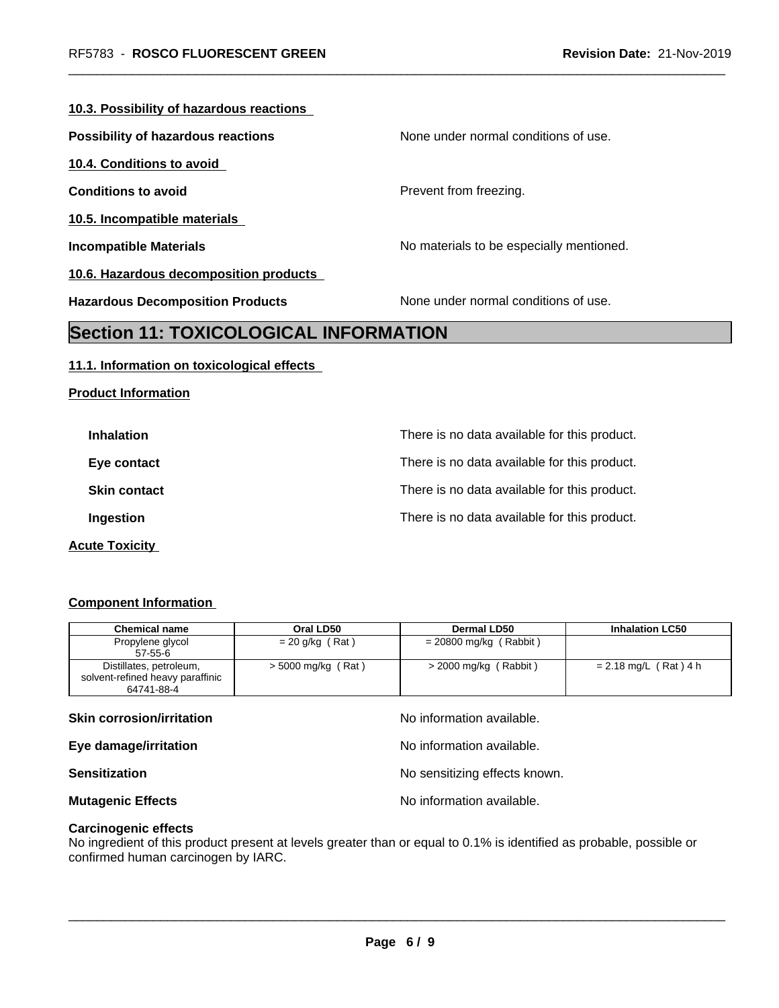#### **10.3. Possibility of hazardous reactions**

**Possibility of hazardous reactions** None under normal conditions of use.

**10.4. Conditions to avoid**

**10.5. Incompatible materials**

**Product Information**

**10.6. Hazardous decomposition products**

**Conditions to avoid Prevent from freezing.** 

**Incompatible Materials No materials** No materials to be especially mentioned.

**Hazardous Decomposition Products** None under normal conditions of use.

### **Section 11: TOXICOLOGICAL INFORMATION**

#### **11.1. Information on toxicological effects**

| <b>Inhalation</b>   | There is no data available for this product. |
|---------------------|----------------------------------------------|
| Eye contact         | There is no data available for this product. |
| <b>Skin contact</b> | There is no data available for this product. |
| Ingestion           | There is no data available for this product. |
|                     |                                              |

**Acute Toxicity** 

#### **Component Information**

| <b>Chemical name</b>             | Oral LD50            | Dermal LD50              | <b>Inhalation LC50</b>  |
|----------------------------------|----------------------|--------------------------|-------------------------|
| Propylene glycol                 | $= 20$ g/kg (Rat)    | $= 20800$ mg/kg (Rabbit) |                         |
| $57 - 55 - 6$                    |                      |                          |                         |
| Distillates, petroleum,          | $>$ 5000 mg/kg (Rat) | $>$ 2000 mg/kg (Rabbit)  | $= 2.18$ mg/L (Rat) 4 h |
| solvent-refined heavy paraffinic |                      |                          |                         |
| 64741-88-4                       |                      |                          |                         |

#### **Skin corrosion/irritation** and  $\blacksquare$  No information available.

**Eye damage/irritation Eye damage/irritation No information available.** 

**Sensitization Sensitization Sensitizing effects known.** 

**Mutagenic Effects Mutagenic Effects No information available.** 

**Carcinogenic effects**

No ingredient of this product present at levels greater than or equal to 0.1% is identified as probable, possible or confirmed human carcinogen by IARC.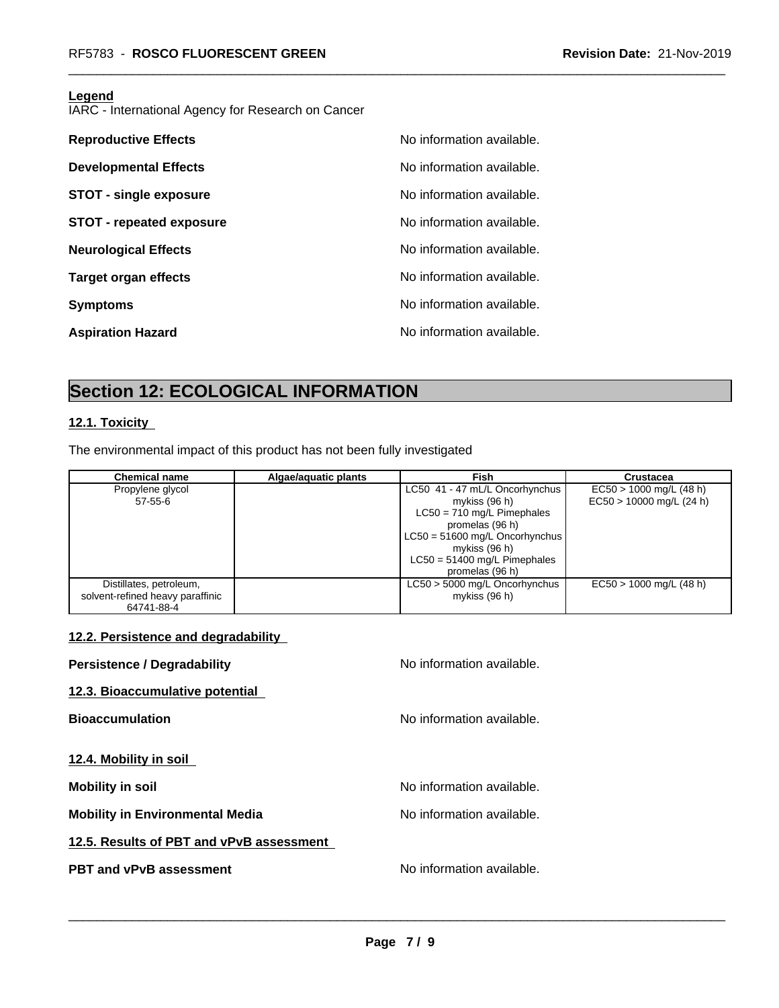#### **Legend**

IARC - International Agency for Research on Cancer

| <b>Reproductive Effects</b>     | No information available. |
|---------------------------------|---------------------------|
| <b>Developmental Effects</b>    | No information available. |
| <b>STOT - single exposure</b>   | No information available. |
| <b>STOT - repeated exposure</b> | No information available. |
| <b>Neurological Effects</b>     | No information available. |
| <b>Target organ effects</b>     | No information available. |
| <b>Symptoms</b>                 | No information available. |
| <b>Aspiration Hazard</b>        | No information available. |

# **Section 12: ECOLOGICAL INFORMATION**

### **12.1. Toxicity**

The environmental impact of this product has not been fully investigated

| <b>Chemical name</b>             | Algae/aquatic plants | <b>Fish</b>                      | Crustacea                  |
|----------------------------------|----------------------|----------------------------------|----------------------------|
| Propylene glycol                 |                      | LC50 41 - 47 mL/L Oncorhynchus   | $EC50 > 1000$ mg/L (48 h)  |
| $57 - 55 - 6$                    |                      | mykiss (96 h)                    | $EC50 > 10000$ mg/L (24 h) |
|                                  |                      | $LC50 = 710$ mg/L Pimephales     |                            |
|                                  |                      | promelas (96 h)                  |                            |
|                                  |                      | $LC50 = 51600$ mg/L Oncorhynchus |                            |
|                                  |                      | mykiss (96 h)                    |                            |
|                                  |                      | $LC50 = 51400$ mg/L Pimephales   |                            |
|                                  |                      | promelas (96 h)                  |                            |
| Distillates, petroleum,          |                      | $LC50 > 5000$ mg/L Oncorhynchus  | $EC50 > 1000$ mg/L (48 h)  |
| solvent-refined heavy paraffinic |                      | mykiss (96 h)                    |                            |
| 64741-88-4                       |                      |                                  |                            |

#### **12.2. Persistence and degradability**

| <b>Persistence / Degradability</b>       | No information available. |
|------------------------------------------|---------------------------|
| 12.3. Bioaccumulative potential          |                           |
| <b>Bioaccumulation</b>                   | No information available. |
|                                          |                           |
| 12.4. Mobility in soil                   |                           |
| <b>Mobility in soil</b>                  | No information available. |
| <b>Mobility in Environmental Media</b>   | No information available. |
| 12.5. Results of PBT and vPvB assessment |                           |
| <b>PBT and vPvB assessment</b>           | No information available. |
|                                          |                           |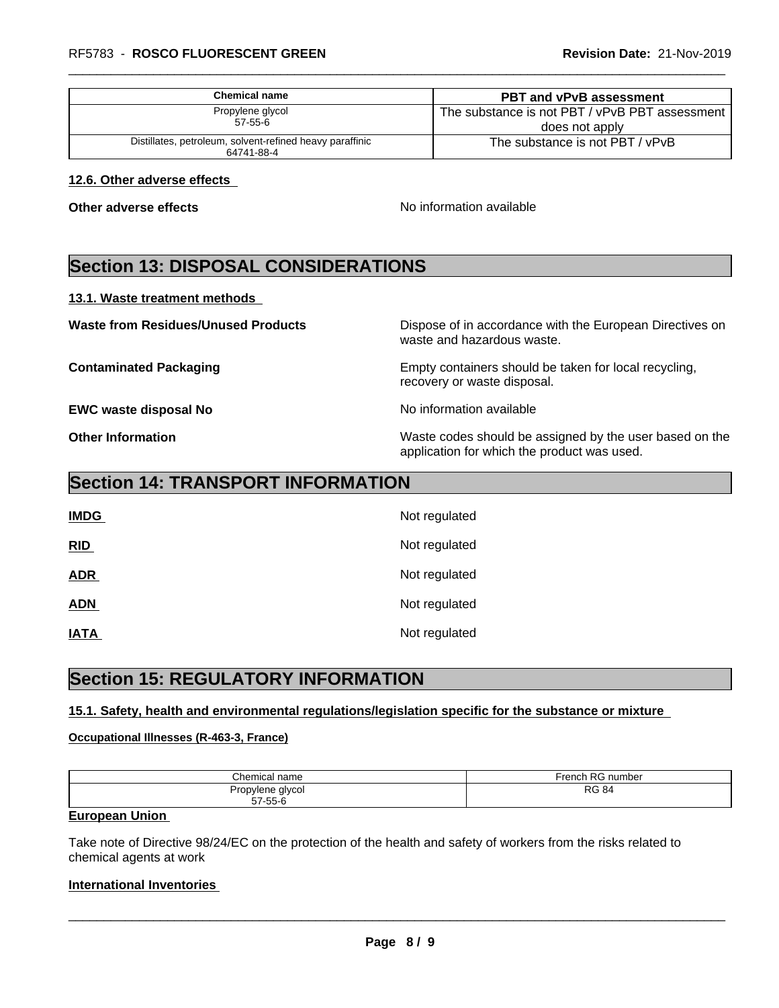| <b>Chemical name</b>                                                   | <b>PBT and vPvB assessment</b>                                     |
|------------------------------------------------------------------------|--------------------------------------------------------------------|
| Propylene glycol<br>$57 - 55 - 6$                                      | The substance is not PBT / vPvB PBT assessment  <br>does not apply |
| Distillates, petroleum, solvent-refined heavy paraffinic<br>64741-88-4 | The substance is not PBT / vPvB                                    |

#### **12.6. Other adverse effects**

**Other adverse effects** No information available

# **Section 13: DISPOSAL CONSIDERATIONS**

#### **13.1. Waste treatment methods**

**Waste from Residues/Unused Products** Dispose of in accordance with the European Directives on waste and hazardous waste.

**Contaminated Packaging Empty containers should be taken for local recycling,** recovery or waste disposal.

**EWC waste disposal No** Noinformation available

**Other Information** Waste codes should be assigned by the user based on the application for which the product was used.

### **Section 14: TRANSPORT INFORMATION**

| <b>IMDG</b> | Not regulated |
|-------------|---------------|
| RID         | Not regulated |
| <b>ADR</b>  | Not regulated |
| <b>ADN</b>  | Not regulated |
| <b>IATA</b> | Not regulated |

# **Section 15: REGULATORY INFORMATION**

#### **15.1. Safety, health and environmental regulations/legislation specific for the substance or mixture**

#### **Occupational Illnesses (R-463-3, France)**

| Chemical         | $r$ rench RC   |
|------------------|----------------|
| name             | RG number      |
| Propylene glycol | D <sub>C</sub> |
| $57 - 55 - 6$    | <b>RG 84</b>   |

#### **European Union**

Take note of Directive 98/24/EC on the protection of the health and safety of workers from the risks related to chemical agents at work

#### **International Inventories**